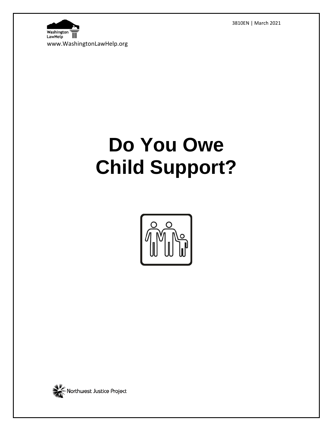3810EN | March 2021



# **Do You Owe Child Support?**



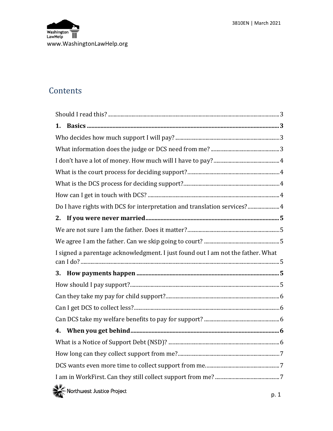

## **Contents**

| 1.                                                                              |  |
|---------------------------------------------------------------------------------|--|
|                                                                                 |  |
|                                                                                 |  |
|                                                                                 |  |
|                                                                                 |  |
|                                                                                 |  |
|                                                                                 |  |
| Do I have rights with DCS for interpretation and translation services? 4        |  |
|                                                                                 |  |
|                                                                                 |  |
|                                                                                 |  |
| I signed a parentage acknowledgment. I just found out I am not the father. What |  |
|                                                                                 |  |
| 3.                                                                              |  |
|                                                                                 |  |
|                                                                                 |  |
|                                                                                 |  |
|                                                                                 |  |
|                                                                                 |  |
|                                                                                 |  |
|                                                                                 |  |
|                                                                                 |  |
|                                                                                 |  |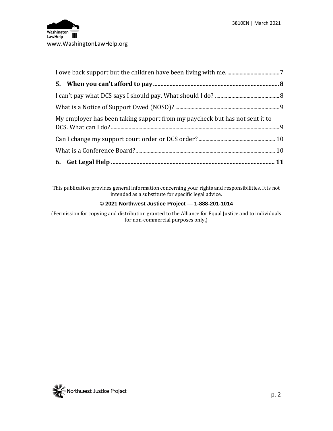

| My employer has been taking support from my paycheck but has not sent it to |  |
|-----------------------------------------------------------------------------|--|
|                                                                             |  |
|                                                                             |  |
|                                                                             |  |

This publication provides general information concerning your rights and responsibilities. It is not intended as a substitute for specific legal advice.

#### **© 2021 Northwest Justice Project — 1-888-201-1014**

(Permission for copying and distribution granted to the Alliance for Equal Justice and to individuals for non-commercial purposes only.)

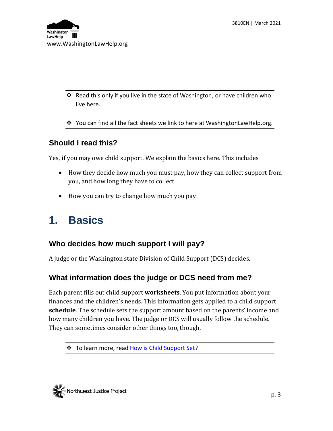

- Read this only if you live in the state of Washington, or have children who live here.
- You can find all the fact sheets we link to here at WashingtonLawHelp.org.

#### <span id="page-3-0"></span>**Should I read this?**

Yes, **if** you may owe child support. We explain the basics here. This includes

- How they decide how much you must pay, how they can collect support from you, and how long they have to collect
- How you can try to change how much you pay

## <span id="page-3-1"></span>**1. Basics**

#### <span id="page-3-2"></span>**Who decides how much support I will pay?**

A judge or the Washington state Division of Child Support (DCS) decides.

#### <span id="page-3-3"></span>**What information does the judge or DCS need from me?**

Each parent fills out child support **worksheets**. You put information about your finances and the children's needs. This information gets applied to a child support **schedule**. The schedule sets the support amount based on the parents' income and how many children you have. The judge or DCS will usually follow the schedule. They can sometimes consider other things too, though.



<sup>❖</sup> To learn more, read [How is Child Support Set?](http://www.washingtonlawhelp.org/resource/understanding-the-wa-state-child-support-sche?ref=5k0zh)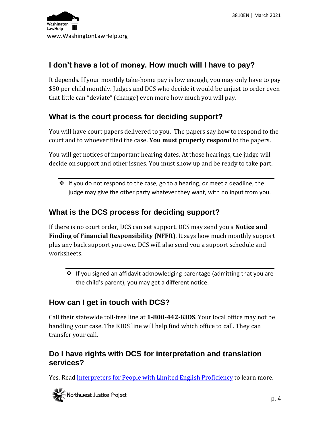

#### <span id="page-4-0"></span>**I don't have a lot of money. How much will I have to pay?**

It depends. If your monthly take-home pay is low enough, you may only have to pay \$50 per child monthly. Judges and DCS who decide it would be unjust to order even that little can "deviate" (change) even more how much you will pay.

#### <span id="page-4-1"></span>**What is the court process for deciding support?**

You will have court papers delivered to you. The papers say how to respond to the court and to whoever filed the case. **You must properly respond** to the papers.

You will get notices of important hearing dates. At those hearings, the judge will decide on support and other issues. You must show up and be ready to take part.

 $\cdot \cdot$  If you do not respond to the case, go to a hearing, or meet a deadline, the judge may give the other party whatever they want, with no input from you.

#### <span id="page-4-2"></span>**What is the DCS process for deciding support?**

If there is no court order, DCS can set support. DCS may send you a **Notice and Finding of Financial Responsibility (NFFR)**. It says how much monthly support plus any back support you owe. DCS will also send you a support schedule and worksheets.

 $\cdot$  If you signed an affidavit acknowledging parentage (admitting that you are the child's parent), you may get a different notice.

#### <span id="page-4-3"></span>**How can I get in touch with DCS?**

Call their statewide toll-free line at **1-800-442-KIDS**. Your local office may not be handling your case. The KIDS line will help find which office to call. They can transfer your call.

#### <span id="page-4-4"></span>**Do I have rights with DCS for interpretation and translation services?**

Yes. Read [Interpreters for People with Limited English Proficiency](https://www.washingtonlawhelp.org/resource/interpreters-for-people-with-limited-english-proficiency?ref=NyZTO) to learn more.

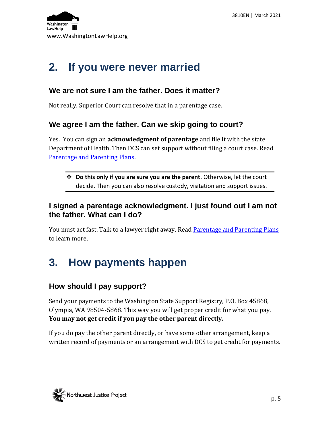

## <span id="page-5-0"></span>**2. If you were never married**

#### <span id="page-5-1"></span>**We are not sure I am the father. Does it matter?**

Not really. Superior Court can resolve that in a parentage case.

#### <span id="page-5-2"></span>**We agree I am the father. Can we skip going to court?**

Yes. You can sign an **acknowledgment of parentage** and file it with the state Department of Health. Then DCS can set support without filing a court case. Read [Parentage and Parenting Plans.](https://www.washingtonlawhelp.org/resource/parentage-and-parenting-plans-for-unmarried-p?ref=eSI1R)

 **Do this only if you are sure you are the parent**. Otherwise, let the court decide. Then you can also resolve custody, visitation and support issues.

#### <span id="page-5-3"></span>**I signed a parentage acknowledgment. I just found out I am not the father. What can I do?**

You must act fast. Talk to a lawyer right away. Read <u>Parentage and Parenting Plans</u> to learn more.

# <span id="page-5-4"></span>**3. How payments happen**

#### <span id="page-5-5"></span>**How should I pay support?**

Send your payments to the Washington State Support Registry, P.O. Box 45868, Olympia, WA 98504-5868. This way you will get proper credit for what you pay. **You may not get credit if you pay the other parent directly.**

If you do pay the other parent directly, or have some other arrangement, keep a written record of payments or an arrangement with DCS to get credit for payments.

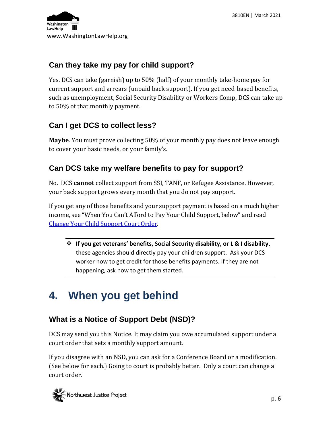

### <span id="page-6-0"></span>**Can they take my pay for child support?**

Yes. DCS can take (garnish) up to 50% (half) of your monthly take-home pay for current support and arrears (unpaid back support). If you get need-based benefits, such as unemployment, Social Security Disability or Workers Comp, DCS can take up to 50% of that monthly payment.

### <span id="page-6-1"></span>**Can I get DCS to collect less?**

**Maybe**. You must prove collecting 50% of your monthly pay does not leave enough to cover your basic needs, or your family's.

#### <span id="page-6-2"></span>**Can DCS take my welfare benefits to pay for support?**

No. DCS **cannot** collect support from SSI, TANF, or Refugee Assistance. However, your back support grows every month that you do not pay support.

If you get any of those benefits and your support payment is based on a much higher income, see "When You Can't Afford to Pay Your Child Support, below" and read [Change Your Child Support Court Order.](https://www.washingtonlawhelp.org/resource/changing-your-child-support-court-order?ref=NgAzl)

 **If you get veterans' benefits, Social Security disability, or L & I disability**, these agencies should directly pay your children support. Ask your DCS worker how to get credit for those benefits payments. If they are not happening, ask how to get them started.

## <span id="page-6-3"></span>**4. When you get behind**

## <span id="page-6-4"></span>**What is a Notice of Support Debt (NSD)?**

DCS may send you this Notice. It may claim you owe accumulated support under a court order that sets a monthly support amount.

If you disagree with an NSD, you can ask for a Conference Board or a modification. (See below for each.) Going to court is probably better. Only a court can change a court order.

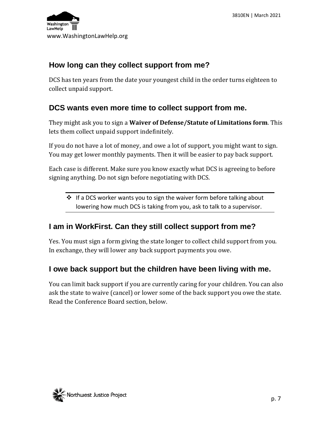

#### <span id="page-7-0"></span>**How long can they collect support from me?**

DCS has ten years from the date your youngest child in the order turns eighteen to collect unpaid support.

#### <span id="page-7-1"></span>**DCS wants even more time to collect support from me.**

They might ask you to sign a **Waiver of Defense/Statute of Limitations form**. This lets them collect unpaid support indefinitely.

If you do not have a lot of money, and owe a lot of support, you might want to sign. You may get lower monthly payments. Then it will be easier to pay back support.

Each case is different. Make sure you know exactly what DCS is agreeing to before signing anything. Do not sign before negotiating with DCS.

 $\cdot$  If a DCS worker wants you to sign the waiver form before talking about lowering how much DCS is taking from you, ask to talk to a supervisor.

#### <span id="page-7-2"></span>**I am in WorkFirst. Can they still collect support from me?**

Yes. You must sign a form giving the state longer to collect child support from you. In exchange, they will lower any back support payments you owe.

#### <span id="page-7-3"></span>**I owe back support but the children have been living with me.**

You can limit back support if you are currently caring for your children. You can also ask the state to waive (cancel) or lower some of the back support you owe the state. Read the Conference Board section, below.

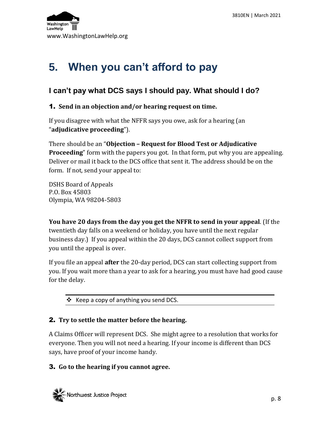

# <span id="page-8-0"></span>**5. When you can't afford to pay**

#### <span id="page-8-1"></span>**I can't pay what DCS says I should pay. What should I do?**

#### 1. **Send in an objection and/or hearing request on time.**

If you disagree with what the NFFR says you owe, ask for a hearing (an "**adjudicative proceeding**").

There should be an "**Objection – Request for Blood Test or Adjudicative Proceeding**" form with the papers you got. In that form, put why you are appealing. Deliver or mail it back to the DCS office that sent it. The address should be on the form. If not, send your appeal to:

DSHS Board of Appeals P.O. Box 45803 Olympia, WA 98204-5803

**You have 20 days from the day you get the NFFR to send in your appeal**. (If the twentieth day falls on a weekend or holiday, you have until the next regular business day.) If you appeal within the 20 days, DCS cannot collect support from you until the appeal is over.

If you file an appeal **after** the 20-day period, DCS can start collecting support from you. If you wait more than a year to ask for a hearing, you must have had good cause for the delay.

 $\div$  Keep a copy of anything you send DCS.

#### 2. **Try to settle the matter before the hearing.**

A Claims Officer will represent DCS. She might agree to a resolution that works for everyone. Then you will not need a hearing. If your income is different than DCS says, have proof of your income handy.

#### 3. **Go to the hearing if you cannot agree.**

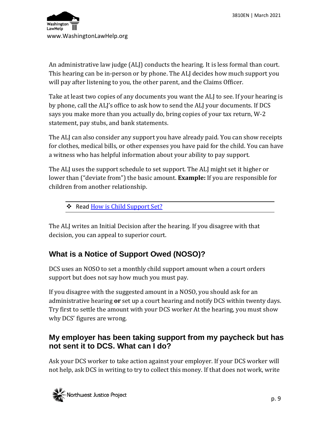

An administrative law judge (ALJ) conducts the hearing. It is less formal than court. This hearing can be in-person or by phone. The ALJ decides how much support you will pay after listening to you, the other parent, and the Claims Officer.

Take at least two copies of any documents you want the ALJ to see. If your hearing is by phone, call the ALJ's office to ask how to send the ALJ your documents. If DCS says you make more than you actually do, bring copies of your tax return, W-2 statement, pay stubs, and bank statements.

The ALJ can also consider any support you have already paid. You can show receipts for clothes, medical bills, or other expenses you have paid for the child. You can have a witness who has helpful information about your ability to pay support.

The ALJ uses the support schedule to set support. The ALJ might set it higher or lower than ("deviate from") the basic amount. **Example:** If you are responsible for children from another relationship.

\* Read [How is Child Support Set?](http://www.washingtonlawhelp.org/resource/understanding-the-wa-state-child-support-sche?ref=5k0zh)

The ALJ writes an Initial Decision after the hearing. If you disagree with that decision, you can appeal to superior court.

## <span id="page-9-0"></span>**What is a Notice of Support Owed (NOSO)?**

DCS uses an NOSO to set a monthly child support amount when a court orders support but does not say how much you must pay.

If you disagree with the suggested amount in a NOSO, you should ask for an administrative hearing **or** set up a court hearing and notify DCS within twenty days. Try first to settle the amount with your DCS worker At the hearing, you must show why DCS' figures are wrong.

#### <span id="page-9-1"></span>**My employer has been taking support from my paycheck but has not sent it to DCS. What can I do?**

Ask your DCS worker to take action against your employer. If your DCS worker will not help, ask DCS in writing to try to collect this money. If that does not work, write

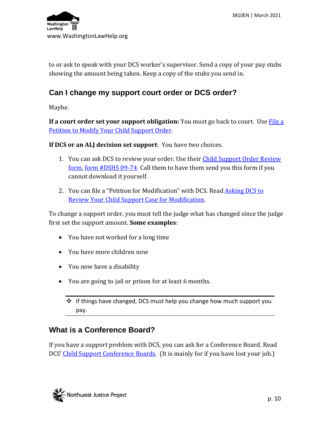

to or ask to speak with your DCS worker's supervisor. Send a copy of your pay stubs showing the amount being taken. Keep a copy of the stubs you send in.

#### <span id="page-10-0"></span>**Can I change my support court order or DCS order?**

Maybe.

**If a court order set your support obligation:** You must go back to court. Use **File a** [Petition to Modify Your Child Support Order.](http://www.washingtonlawhelp.org/resource/filing-a-petition-to-modify-your-child-suppor?ref=QHHBG)

**If DCS or an ALJ decision set support**: You have two choices.

- 1. You can ask DCS to review your order. Use their Child Support Order Review [form, form #DSHS 09-74](https://www.dshs.wa.gov/sites/default/files/ESA/dcs/documents/09-741.pdf). Call them to have them send you this form if you cannot download it yourself.
- 2. You can file a "Petition for Modification" with DCS. Rea[d Asking DCS to](https://www.washingtonlawhelp.org/resource/how-to-ask-dcs-to-review-your-child-support-o?ref=Al9ov)  [Review Your Child Support Case for Modification.](https://www.washingtonlawhelp.org/resource/how-to-ask-dcs-to-review-your-child-support-o?ref=Al9ov)

To change a support order, you must tell the judge what has changed since the judge first set the support amount. **Some examples**:

- You have not worked for a long time
- You have more children now
- You now have a disability
- You are going to jail or prison for at least 6 months.
	- ❖ If things have changed, DCS must help you change how much support you pay.

#### <span id="page-10-1"></span>**What is a Conference Board?**

If you have a support problem with DCS, you can ask for a Conference Board. Read DCS' [Child Support Conference Boards.](https://www.dshs.wa.gov/sites/default/files/ESA/dcs/documents/22-386.pdf) (It is mainly for if you have lost your job.)